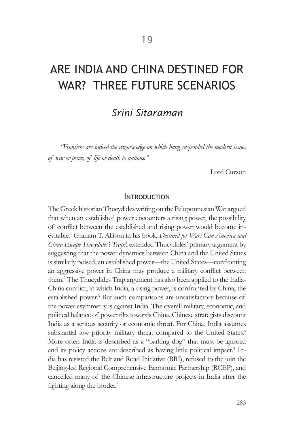# ARE INDIA AND CHINA DESTINED FOR WAR? THREE FUTURE SCENARIOS

## *Srini Sitaraman*

*"Frontiers are indeed the razor's edge on which hang suspended the modern issues of war or peace, of life or death to nations."* 

Lord Curzon

#### **INTRODUCTION**

The Greek historian Thucydides writing on the Peloponnesian War argued that when an established power encounters a rising power, the possibility of conflict between the established and rising power would become inevitable.1 Graham T. Allison in his book, *Destined for War: Can America and China Escape Thucydides's Trap?*, extended Thucydides' primary argument by suggesting that the power dynamics between China and the United States is similarly poised, an established power—the United States—confronting an aggressive power in China may produce a military conflict between them.<sup>2</sup> The Thucydides Trap argument has also been applied to the India-China conflict, in which India, a rising power, is confronted by China, the established power.<sup>3</sup> But such comparisons are unsatisfactory because of the power asymmetry is against India. The overall military, economic, and political balance of power tilts towards China. Chinese strategists discount India as a serious security or economic threat. For China, India assumes substantial low priority military threat compared to the United States.<sup>4</sup> More often India is described as a "barking dog" that must be ignored and its policy actions are described as having little political impact.<sup>5</sup> India has resisted the Belt and Road Initiative (BRI), refused to the join the Beijing-led Regional Comprehensive Economic Partnership (RCEP), and cancelled many of the Chinese infrastructure projects in India after the fighting along the border.<sup>6</sup>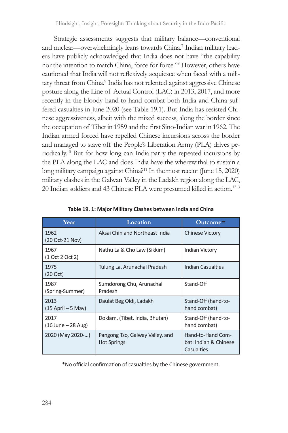Strategic assessments suggests that military balance—conventional and nuclear—overwhelmingly leans towards China.<sup>7</sup> Indian military leaders have publicly acknowledged that India does not have "the capability nor the intention to match China, force for force."<sup>8</sup> However, others have cautioned that India will not reflexively acquiesce when faced with a military threat from China.<sup>9</sup> India has not relented against aggressive Chinese posture along the Line of Actual Control (LAC) in 2013, 2017, and more recently in the bloody hand-to-hand combat both India and China suffered casualties in June 2020 (see Table 19.1). But India has resisted Chinese aggressiveness, albeit with the mixed success, along the border since the occupation of Tibet in 1959 and the first Sino-Indian war in 1962. The Indian armed forced have repelled Chinese incursions across the border and managed to stave off the People's Liberation Army (PLA) drives periodically.10 But for how long can India parry the repeated incursions by the PLA along the LAC and does India have the wherewithal to sustain a long military campaign against China?<sup>11</sup> In the most recent (June 15, 2020) military clashes in the Galwan Valley in the Ladakh region along the LAC, 20 Indian soldiers and 43 Chinese PLA were presumed killed in action.<sup>1213</sup>

| Year                          | Location                                              | $\text{Outcome}$                                         |  |
|-------------------------------|-------------------------------------------------------|----------------------------------------------------------|--|
| 1962<br>(20 Oct-21 Nov)       | Aksai Chin and Northeast India                        | <b>Chinese Victory</b>                                   |  |
| 1967<br>(1 Oct 2 Oct 2)       | Nathu La & Cho Law (Sikkim)                           | Indian Victory                                           |  |
| 1975<br>(20 Oct)              | Tulung La, Arunachal Pradesh                          | Indian Casualties                                        |  |
| 1987<br>(Spring-Summer)       | Sumdorong Chu, Arunachal<br>Pradesh                   | Stand-Off                                                |  |
| 2013<br>$(15$ April $-5$ May) | Daulat Beg Oldi, Ladakh                               | Stand-Off (hand-to-<br>hand combat)                      |  |
| 2017<br>$(16$ June – 28 Aug)  | Doklam, (Tibet, India, Bhutan)                        | Stand-Off (hand-to-<br>hand combat)                      |  |
| 2020 (May 2020-)              | Pangong Tso, Galway Valley, and<br><b>Hot Springs</b> | Hand-to-Hand Com-<br>bat: Indian & Chinese<br>Casualties |  |

|  |  |  |  |  | Table 19. 1: Major Military Clashes between India and China |  |
|--|--|--|--|--|-------------------------------------------------------------|--|
|--|--|--|--|--|-------------------------------------------------------------|--|

\*No official confirmation of casualties by the Chinese government.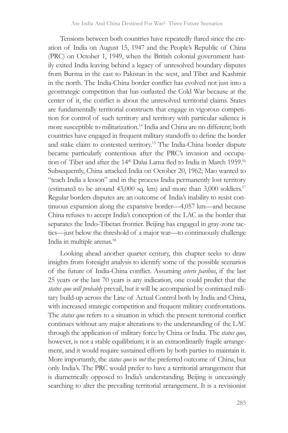Tensions between both countries have repeatedly flared since the creation of India on August 15, 1947 and the People's Republic of China (PRC) on October 1, 1949, when the British colonial government hastily exited India leaving behind a legacy of unresolved boundary disputes from Burma in the east to Pakistan in the west, and Tibet and Kashmir in the north. The India-China border conflict has evolved not just into a geostrategic competition that has outlasted the Cold War because at the center of it, the conflict is about the unresolved territorial claims. States are fundamentally territorial constructs that engage in vigorous competition for control of such territory and territory with particular salience is more susceptible to militarization.<sup>14</sup> India and China are no different; both countries have engaged in frequent military standoffs to define the border and stake claim to contested territory.<sup>15</sup> The India-China border dispute became particularly contentious after the PRC's invasion and occupation of Tibet and after the 14<sup>th</sup> Dalai Lama fled to India in March 1959.<sup>16</sup> Subsequently, China attacked India on October 20, 1962; Mao wanted to "teach India a lesson" and in the process India permanently lost territory (estimated to be around 43,000 sq. km) and more than 3,000 soldiers.<sup>17</sup> Regular borders disputes are an outcome of India's inability to resist continuous expansion along the expansive border—4,057 km—and because China refuses to accept India's conception of the LAC as the border that separates the Indo-Tibetan frontier. Beijing has engaged in gray-zone tactics—just below the threshold of a major war—to continuously challenge India in multiple arenas.<sup>18</sup>

Looking ahead another quarter century, this chapter seeks to draw insights from foresight analysis to identify some of the possible scenarios of the future of India-China conflict. Assuming *ceteris paribus*, if the last 25 years or the last 70 years is any indication, one could predict that the *status quo will probably* prevail, but it will be accompanied by continued military build-up across the Line of Actual Control both by India and China, with increased strategic competition and frequent military confrontations. The *status quo* refers to a situation in which the present territorial conflict continues without any major alterations to the understanding of the LAC through the application of military force by China or India. The *status quo*, however, is not a stable equilibrium; it is an extraordinarily fragile arrangement, and it would require sustained efforts by both parties to maintain it. More importantly, the *status quo* is *not* the preferred outcome of China, but only India's. The PRC would prefer to have a territorial arrangement that is diametrically opposed to India's understanding. Beijing is unceasingly searching to alter the prevailing territorial arrangement. It is a revisionist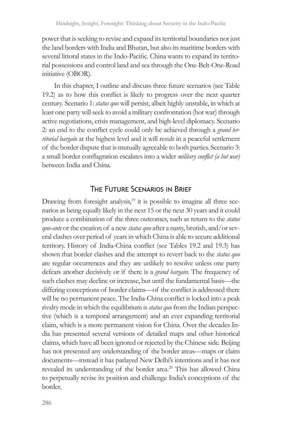power that is seeking to revise and expand its territorial boundaries not just the land borders with India and Bhutan, but also its maritime borders with several littoral states in the Indo-Pacific. China wants to expand its territorial possessions and control land and sea through the One-Belt-One-Road initiative (OBOR).

In this chapter, I outline and discuss three future scenarios (see Table 19.2) as to how this conflict is likely to progress over the next quarter century. Scenario 1: *status quo* will persist, albeit highly unstable, in which at least one party will seek to avoid a military confrontation (hot war) through active negotiations, crisis management, and high-level diplomacy. Scenario 2: an end to the conflict cycle could only be achieved through a *grand territorial bargain* at the highest level and it will result in a peaceful settlement of the border dispute that is mutually agreeable to both parties. Scenario 3: a small border conflagration escalates into a wider *military conflict (a hot war)* between India and China.

### The Future Scenarios in Brief

Drawing from foresight analysis, $19$  it is possible to imagine all three scenarios as being equally likely in the next 15 or the next 30 years and it could produce a combination of the three outcomes, such as return to the *status quo-ante* or the creation of a new *status quo* after a nasty, brutish, and/or several clashes over period of years in which China is able to secure additional territory. History of India-China conflict (see Tables 19.2 and 19.3) has shown that border clashes and the attempt to revert back to the *status quo* are regular occurrences and they are unlikely to resolve unless one party defeats another decisively or if there is a *grand bargain*. The frequency of such clashes may decline or increase, but until the fundamental basis—the differing conceptions of border claims—of the conflict is addressed there will be no permanent peace. The India-China conflict is locked into a peak rivalry mode in which the equilibrium is *status quo* from the Indian perspective (which is a temporal arrangement) and an ever expanding territorial claim, which is a more permanent vision for China. Over the decades India has presented several versions of detailed maps and other historical claims, which have all been ignored or rejected by the Chinese side. Beijing has not presented any understanding of the border areas—maps or claim documents—instead it has parlayed New Delhi's intentions and it has not revealed its understanding of the border area.<sup>20</sup> This has allowed China to perpetually revise its position and challenge India's conceptions of the border.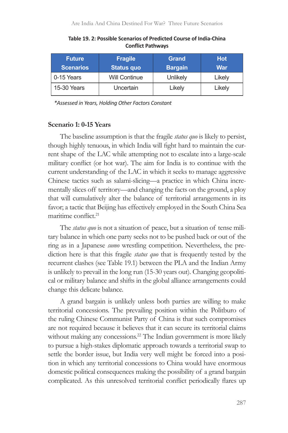| <b>Future</b><br><b>Scenarios</b> | <b>Fragile</b><br><b>Status quo</b> | <b>Grand</b><br><b>Bargain</b> | <b>Hot</b><br>War |
|-----------------------------------|-------------------------------------|--------------------------------|-------------------|
| 0-15 Years                        | <b>Will Continue</b>                | Unlikely                       | Likely            |
| 15-30 Years                       | Uncertain                           | Likely                         | Likely            |

**Table 19. 2: Possible Scenarios of Predicted Course of India-China Conflict Pathways**

*\*Assessed in Years, Holding Other Factors Constant*

#### **Scenario 1: 0-15 Years**

The baseline assumption is that the fragile *status quo* is likely to persist, though highly tenuous, in which India will fight hard to maintain the current shape of the LAC while attempting not to escalate into a large-scale military conflict (or hot war). The aim for India is to continue with the current understanding of the LAC in which it seeks to manage aggressive Chinese tactics such as salami-slicing—a practice in which China incrementally slices off territory—and changing the facts on the ground, a ploy that will cumulatively alter the balance of territorial arrangements in its favor; a tactic that Beijing has effectively employed in the South China Sea maritime conflict<sup>21</sup>

The *status quo* is not a situation of peace, but a situation of tense military balance in which one party seeks not to be pushed back or out of the ring as in a Japanese *sumo* wrestling competition. Nevertheless, the prediction here is that this fragile *status quo* that is frequently tested by the recurrent clashes (see Table 19.1) between the PLA and the Indian Army is unlikely to prevail in the long run (15-30 years out). Changing geopolitical or military balance and shifts in the global alliance arrangements could change this delicate balance.

A grand bargain is unlikely unless both parties are willing to make territorial concessions. The prevailing position within the Politburo of the ruling Chinese Communist Party of China is that such compromises are not required because it believes that it can secure its territorial claims without making any concessions.<sup>22</sup> The Indian government is more likely to pursue a high-stakes diplomatic approach towards a territorial swap to settle the border issue, but India very well might be forced into a position in which any territorial concessions to China would have enormous domestic political consequences making the possibility of a grand bargain complicated. As this unresolved territorial conflict periodically flares up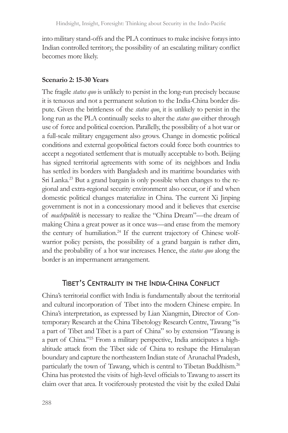into military stand-offs and the PLA continues to make incisive forays into Indian controlled territory, the possibility of an escalating military conflict becomes more likely.

#### **Scenario 2: 15-30 Years**

The fragile *status quo* is unlikely to persist in the long-run precisely because it is tenuous and not a permanent solution to the India-China border dispute. Given the brittleness of the *status quo*, it is unlikely to persist in the long run as the PLA continually seeks to alter the *status quo* either through use of force and political coercion. Parallelly, the possibility of a hot war or a full-scale military engagement also grows. Change in domestic political conditions and external geopolitical factors could force both countries to accept a negotiated settlement that is mutually acceptable to both. Beijing has signed territorial agreements with some of its neighbors and India has settled its borders with Bangladesh and its maritime boundaries with Sri Lanka.<sup>23</sup> But a grand bargain is only possible when changes to the regional and extra-regional security environment also occur, or if and when domestic political changes materialize in China. The current Xi Jinping government is not in a concessionary mood and it believes that exercise of *machtpolitik* is necessary to realize the "China Dream"—the dream of making China a great power as it once was—and erase from the memory the century of humiliation.<sup>24</sup> If the current trajectory of Chinese wolfwarrior policy persists, the possibility of a grand bargain is rather dim, and the probability of a hot war increases. Hence, the *status quo* along the border is an impermanent arrangement.

### Tibet's Centrality in the India-China Conflict

China's territorial conflict with India is fundamentally about the territorial and cultural incorporation of Tibet into the modern Chinese empire. In China's interpretation, as expressed by Lian Xiangmin, Director of Contemporary Research at the China Tibetology Research Centre, Tawang "is a part of Tibet and Tibet is a part of China" so by extension "Tawang is a part of China."25 From a military perspective, India anticipates a highaltitude attack from the Tibet side of China to reshape the Himalayan boundary and capture the northeastern Indian state of Arunachal Pradesh, particularly the town of Tawang, which is central to Tibetan Buddhism.<sup>26</sup> China has protested the visits of high-level officials to Tawang to assert its claim over that area. It vociferously protested the visit by the exiled Dalai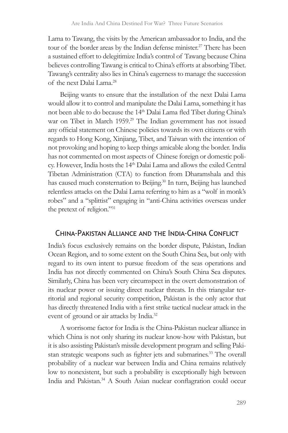Lama to Tawang, the visits by the American ambassador to India, and the tour of the border areas by the Indian defense minister.<sup>27</sup> There has been a sustained effort to delegitimize India's control of Tawang because China believes controlling Tawang is critical to China's efforts at absorbing Tibet. Tawang's centrality also lies in China's eagerness to manage the succession of the next Dalai Lama.<sup>28</sup>

Beijing wants to ensure that the installation of the next Dalai Lama would allow it to control and manipulate the Dalai Lama, something it has not been able to do because the 14<sup>th</sup> Dalai Lama fled Tibet during China's war on Tibet in March 1959.<sup>29</sup> The Indian government has not issued any official statement on Chinese policies towards its own citizens or with regards to Hong Kong, Xinjiang, Tibet, and Taiwan with the intention of not provoking and hoping to keep things amicable along the border. India has not commented on most aspects of Chinese foreign or domestic policy. However, India hosts the 14<sup>th</sup> Dalai Lama and allows the exiled Central Tibetan Administration (CTA) to function from Dharamshala and this has caused much consternation to Beijing.<sup>30</sup> In turn, Beijing has launched relentless attacks on the Dalai Lama referring to him as a "wolf in monk's robes" and a "splittist" engaging in "anti-China activities overseas under the pretext of religion."<sup>31</sup>

#### China-Pakistan Alliance and the India-China Conflict

India's focus exclusively remains on the border dispute, Pakistan, Indian Ocean Region, and to some extent on the South China Sea, but only with regard to its own intent to pursue freedom of the seas operations and India has not directly commented on China's South China Sea disputes. Similarly, China has been very circumspect in the overt demonstration of its nuclear power or issuing direct nuclear threats. In this triangular territorial and regional security competition, Pakistan is the only actor that has directly threatened India with a first strike tactical nuclear attack in the event of ground or air attacks by India.<sup>32</sup>

A worrisome factor for India is the China-Pakistan nuclear alliance in which China is not only sharing its nuclear know-how with Pakistan, but it is also assisting Pakistan's missile development program and selling Pakistan strategic weapons such as fighter jets and submarines.<sup>33</sup> The overall probability of a nuclear war between India and China remains relatively low to nonexistent, but such a probability is exceptionally high between India and Pakistan.<sup>34</sup> A South Asian nuclear conflagration could occur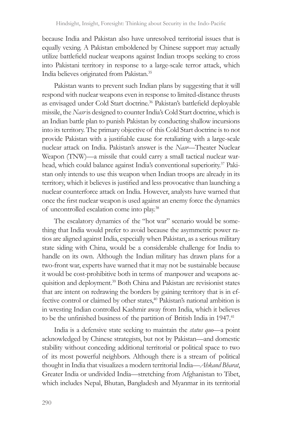because India and Pakistan also have unresolved territorial issues that is equally vexing. A Pakistan emboldened by Chinese support may actually utilize battlefield nuclear weapons against Indian troops seeking to cross into Pakistani territory in response to a large-scale terror attack, which India believes originated from Pakistan.<sup>35</sup>

Pakistan wants to prevent such Indian plans by suggesting that it will respond with nuclear weapons even in response to limited-distance thrusts as envisaged under Cold Start doctrine.<sup>36</sup> Pakistan's battlefield deployable missile, the *Nasr* is designed to counter India's Cold Start doctrine, which is an Indian battle plan to punish Pakistan by conducting shallow incursions into its territory. The primary objective of this Cold Start doctrine is to not provide Pakistan with a justifiable cause for retaliating with a large-scale nuclear attack on India. Pakistan's answer is the *Nasr*—Theater Nuclear Weapon (TNW)—a missile that could carry a small tactical nuclear warhead, which could balance against India's conventional superiority.37 Pakistan only intends to use this weapon when Indian troops are already in its territory, which it believes is justified and less provocative than launching a nuclear counterforce attack on India. However, analysts have warned that once the first nuclear weapon is used against an enemy force the dynamics of uncontrolled escalation come into play.<sup>38</sup>

The escalatory dynamics of the "hot war" scenario would be something that India would prefer to avoid because the asymmetric power ratios are aligned against India, especially when Pakistan, as a serious military state siding with China, would be a considerable challenge for India to handle on its own. Although the Indian military has drawn plans for a two-front war, experts have warned that it may not be sustainable because it would be cost-prohibitive both in terms of manpower and weapons acquisition and deployment.39 Both China and Pakistan are revisionist states that are intent on redrawing the borders by gaining territory that is in effective control or claimed by other states,<sup>40</sup> Pakistan's national ambition is in wresting Indian controlled Kashmir away from India, which it believes to be the unfinished business of the partition of British India in 1947.<sup>41</sup>

India is a defensive state seeking to maintain the *status quo*—a point acknowledged by Chinese strategists, but not by Pakistan—and domestic stability without conceding additional territorial or political space to two of its most powerful neighbors. Although there is a stream of political thought in India that visualizes a modern territorial India—*Ahkand Bharat*, Greater India or undivided India—stretching from Afghanistan to Tibet, which includes Nepal, Bhutan, Bangladesh and Myanmar in its territorial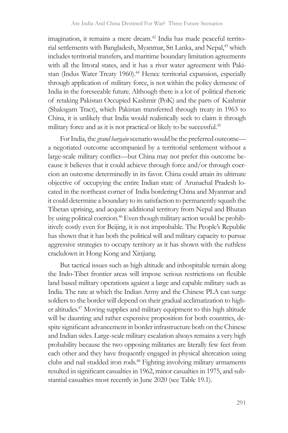imagination, it remains a mere dream.<sup>42</sup> India has made peaceful territorial settlements with Bangladesh, Myanmar, Sri Lanka, and Nepal,43 which includes territorial transfers, and maritime boundary limitation agreements with all the littoral states, and it has a river water agreement with Pakistan (Indus Water Treaty 1960).<sup>44</sup> Hence territorial expansion, especially through application of military force, is not within the policy demesne of India in the foreseeable future. Although there is a lot of political rhetoric of retaking Pakistan Occupied Kashmir (PoK) and the parts of Kashmir (Shaksgam Tract), which Pakistan transferred through treaty in 1963 to China, it is unlikely that India would realistically seek to claim it through military force and as it is not practical or likely to be successful.<sup>45</sup>

For India, the *grand bargain* scenario would be the preferred outcome a negotiated outcome accompanied by a territorial settlement without a large-scale military conflict—but China may not prefer this outcome because it believes that it could achieve through force and/or through coercion an outcome determinedly in its favor. China could attain its ultimate objective of occupying the entire Indian state of Arunachal Pradesh located in the northeast corner of India bordering China and Myanmar and it could determine a boundary to its satisfaction to permanently squash the Tibetan uprising, and acquire additional territory from Nepal and Bhutan by using political coercion.<sup>46</sup> Even though military action would be prohibitively costly even for Beijing, it is not improbable. The People's Republic has shown that it has both the political will and military capacity to pursue aggressive strategies to occupy territory as it has shown with the ruthless crackdown in Hong Kong and Xinjiang.

But tactical issues such as high altitude and inhospitable terrain along the Indo-Tibet frontier areas will impose serious restrictions on flexible land based military operations against a large and capable military such as India. The rate at which the Indian Army and the Chinese PLA can surge soldiers to the border will depend on their gradual acclimatization to higher altitudes.<sup>47</sup> Moving supplies and military equipment to this high altitude will be daunting and rather expensive proposition for both countries, despite significant advancement in border infrastructure both on the Chinese and Indian sides. Large-scale military escalation always remains a very high probability because the two opposing militaries are literally few feet from each other and they have frequently engaged in physical altercation using clubs and nail studded iron rods.48 Fighting involving military armaments resulted in significant casualties in 1962, minor casualties in 1975, and substantial casualties most recently in June 2020 (see Table 19.1).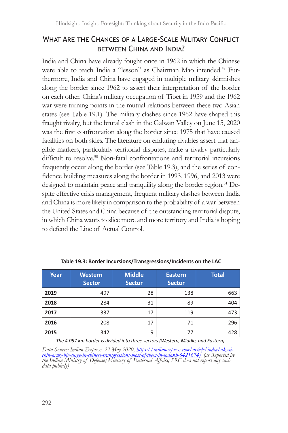### What Are the Chances of a Large-Scale Military Conflict between China and India?

India and China have already fought once in 1962 in which the Chinese were able to teach India a "lesson" as Chairman Mao intended.<sup>49</sup> Furthermore, India and China have engaged in multiple military skirmishes along the border since 1962 to assert their interpretation of the border on each other. China's military occupation of Tibet in 1959 and the 1962 war were turning points in the mutual relations between these two Asian states (see Table 19.1). The military clashes since 1962 have shaped this fraught rivalry, but the brutal clash in the Galwan Valley on June 15, 2020 was the first confrontation along the border since 1975 that have caused fatalities on both sides. The literature on enduring rivalries assert that tangible markers, particularly territorial disputes, make a rivalry particularly difficult to resolve.<sup>50</sup> Non-fatal confrontations and territorial incursions frequently occur along the border (see Table 19.3), and the series of confidence building measures along the border in 1993, 1996, and 2013 were designed to maintain peace and tranquility along the border region.<sup>51</sup> Despite effective crisis management, frequent military clashes between India and China is more likely in comparison to the probability of a war between the United States and China because of the outstanding territorial dispute, in which China wants to slice more and more territory and India is hoping to defend the Line of Actual Control.

| Year | <b>Western</b><br><b>Sector</b> | <b>Middle</b><br><b>Sector</b> | <b>Eastern</b><br><b>Sector</b> | <b>Total</b> |
|------|---------------------------------|--------------------------------|---------------------------------|--------------|
| 2019 | 497                             | 28                             | 138                             | 663          |
| 2018 | 284                             | 31                             | 89                              | 404          |
| 2017 | 337                             | 17                             | 119                             | 473          |
| 2016 | 208                             | 17                             | 71                              | 296          |
| 2015 | 342                             | 9                              | 77                              | 428          |

**Table 19.3: Border Incursions/Transgressions/Incidents on the LAC** 

*The 4,057 km border is divided into three sectors (Western, Middle, and Eastern).*

Data Source: Indian Express, 22 May 2020, <u>bttps://indianexpress.com/article/india/aksai-chin-army-big-surge-in-chinese-transgressions-most-of-them-in-ladakh-6421674/ (as Reported by<br>the Indian Ministry of Defense/Ministry</u>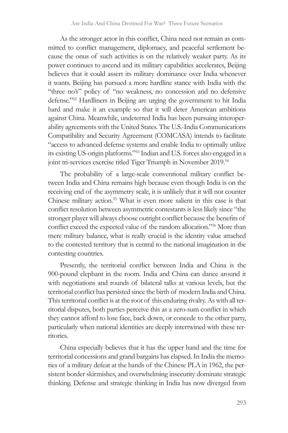As the stronger actor in this conflict, China need not remain as committed to conflict management, diplomacy, and peaceful settlement because the onus of such activities is on the relatively weaker party. As its power continues to ascend and its military capabilities accelerates, Beijing believes that it could assert its military dominance over India whenever it wants. Beijing has pursued a more hardline stance with India with the "three no's" policy of "no weakness, no concession and no defensive defense."52 Hardliners in Beijing are urging the government to hit India hard and make it an example so that it will deter American ambitions against China. Meanwhile, undeterred India has been pursuing interoperability agreements with the United States. The U.S.-India Communications Compatibility and Security Agreement (COMCASA) intends to facilitate "access to advanced defense systems and enable India to optimally utilize its existing US-origin platforms."<sup>53</sup> Indian and U.S. forces also engaged in a joint tri-services exercise titled Tiger Triumph in November 2019.<sup>54</sup>

The probability of a large-scale conventional military conflict between India and China remains high because even though India is on the receiving end of the asymmetry scale, it is unlikely that it will not counter Chinese military action.<sup>55</sup> What is even more salient in this case is that conflict resolution between asymmetric contestants is less likely since "the stronger player will always choose outright conflict because the benefits of conflict exceed the expected value of the random allocation."56 More than mere military balance, what is really crucial is the identity value attached to the contested territory that is central to the national imagination in the contesting countries.

Presently, the territorial conflict between India and China is the 900-pound elephant in the room. India and China can dance around it with negotiations and rounds of bilateral talks at various levels, but the territorial conflict has persisted since the birth of modern India and China. This territorial conflict is at the root of this enduring rivalry. As with all territorial disputes, both parties perceive this as a zero-sum conflict in which they cannot afford to lose face, back down, or concede to the other party, particularly when national identities are deeply intertwined with these territories.

China especially believes that it has the upper hand and the time for territorial concessions and grand bargains has elapsed. In India the memories of a military defeat at the hands of the Chinese PLA in 1962, the persistent border skirmishes, and overwhelming insecurity dominate strategic thinking. Defense and strategic thinking in India has now diverged from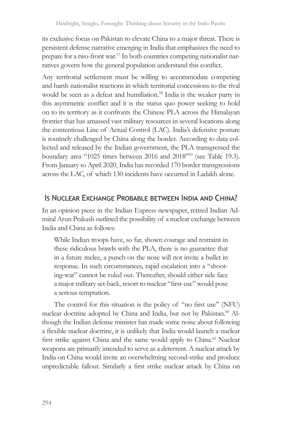its exclusive focus on Pakistan to elevate China to a major threat. There is persistent defense narrative emerging in India that emphasizes the need to prepare for a two-front war.<sup>57</sup> In both countries competing nationalist narratives govern how the general population understand this conflict.

Any territorial settlement must be willing to accommodate competing and harsh nationalist reactions in which territorial concessions to the rival would be seen as a defeat and humiliation.<sup>58</sup> India is the weaker party in this asymmetric conflict and it is the status quo power seeking to hold on to its territory as it confronts the Chinese PLA across the Himalayan frontier that has amassed vast military resources in several locations along the contentious Line of Actual Control (LAC). India's defensive posture is routinely challenged by China along the border. According to data collected and released by the Indian government, the PLA transgressed the boundary area "1025 times between 2016 and 2018"<sup>59</sup> (see Table 19.3). From January to April 2020, India has recorded 170 border transgressions across the LAC, of which 130 incidents have occurred in Ladakh alone.

### Is Nuclear Exchange Probable between India and China?

In an opinion piece in the Indian Express newspaper, retired Indian Admiral Arun Prakash outlined the possibility of a nuclear exchange between India and China as follows:

While Indian troops have, so far, shown courage and restraint in these ridiculous brawls with the PLA, there is no guarantee that in a future melee, a punch on the nose will not invite a bullet in response. In such circumstances, rapid escalation into a "shooting-war" cannot be ruled out. Thereafter, should either side face a major military set-back, resort to nuclear "first-use" would pose a serious temptation.

The control for this situation is the policy of "no first use" (NFU) nuclear doctrine adopted by China and India, but not by Pakistan.<sup>60</sup> Although the Indian defense minister has made some noise about following a flexible nuclear doctrine, it is unlikely that India would launch a nuclear first strike against China and the same would apply to China.<sup>61</sup> Nuclear weapons are primarily intended to serve as a deterrent. A nuclear attack by India on China would invite an overwhelming second-strike and produce unpredictable fallout. Similarly a first strike nuclear attack by China on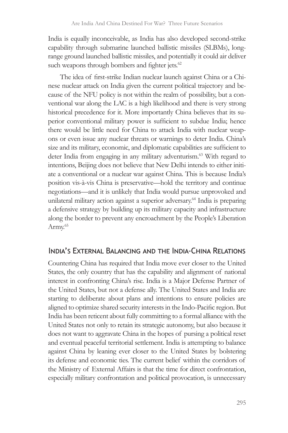India is equally inconceivable, as India has also developed second-strike capability through submarine launched ballistic missiles (SLBMs), longrange ground launched ballistic missiles, and potentially it could air deliver such weapons through bombers and fighter jets.<sup>62</sup>

The idea of first-strike Indian nuclear launch against China or a Chinese nuclear attack on India given the current political trajectory and because of the NFU policy is not within the realm of possibility, but a conventional war along the LAC is a high likelihood and there is very strong historical precedence for it. More importantly China believes that its superior conventional military power is sufficient to subdue India; hence there would be little need for China to attack India with nuclear weapons or even issue any nuclear threats or warnings to deter India. China's size and its military, economic, and diplomatic capabilities are sufficient to deter India from engaging in any military adventurism.<sup>63</sup> With regard to intentions, Beijing does not believe that New Delhi intends to either initiate a conventional or a nuclear war against China. This is because India's position vis-à-vis China is preservative—hold the territory and continue negotiations—and it is unlikely that India would pursue unprovoked and unilateral military action against a superior adversary.<sup>64</sup> India is preparing a defensive strategy by building up its military capacity and infrastructure along the border to prevent any encroachment by the People's Liberation Army.<sup>65</sup>

### India's External Balancing and the India-China Relations

Countering China has required that India move ever closer to the United States, the only country that has the capability and alignment of national interest in confronting China's rise. India is a Major Defense Partner of the United States, but not a defense ally. The United States and India are starting to deliberate about plans and intentions to ensure policies are aligned to optimize shared security interests in the Indo-Pacific region. But India has been reticent about fully committing to a formal alliance with the United States not only to retain its strategic autonomy, but also because it does not want to aggravate China in the hopes of pursing a political reset and eventual peaceful territorial settlement. India is attempting to balance against China by leaning ever closer to the United States by bolstering its defense and economic ties. The current belief within the corridors of the Ministry of External Affairs is that the time for direct confrontation, especially military confrontation and political provocation, is unnecessary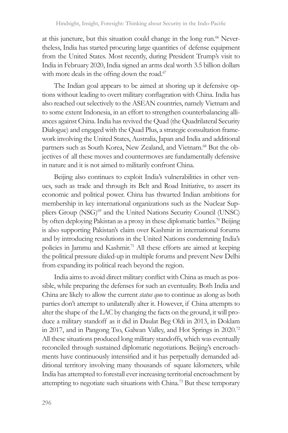at this juncture, but this situation could change in the long run.<sup>66</sup> Nevertheless, India has started procuring large quantities of defense equipment from the United States. Most recently, during President Trump's visit to India in February 2020, India signed an arms deal worth 3.5 billion dollars with more deals in the offing down the road.<sup>67</sup>

The Indian goal appears to be aimed at shoring up it defensive options without leading to overt military conflagration with China. India has also reached out selectively to the ASEAN countries, namely Vietnam and to some extent Indonesia, in an effort to strengthen counterbalancing alliances against China. India has revived the Quad (the Quadrilateral Security Dialogue) and engaged with the Quad Plus, a strategic consultation framework involving the United States, Australia, Japan and India and additional partners such as South Korea, New Zealand, and Vietnam.<sup>68</sup> But the objectives of all these moves and countermoves are fundamentally defensive in nature and it is not aimed to militarily confront China.

Beijing also continues to exploit India's vulnerabilities in other venues, such as trade and through its Belt and Road Initiative, to assert its economic and political power. China has thwarted Indian ambitions for membership in key international organizations such as the Nuclear Suppliers Group (NSG)<sup>69</sup> and the United Nations Security Council (UNSC) by often deploying Pakistan as a proxy in these diplomatic battles.<sup>70</sup> Beijing is also supporting Pakistan's claim over Kashmir in international forums and by introducing resolutions in the United Nations condemning India's policies in Jammu and Kashmir.<sup>71</sup> All these efforts are aimed at keeping the political pressure dialed-up in multiple forums and prevent New Delhi from expanding its political reach beyond the region.

India aims to avoid direct military conflict with China as much as possible, while preparing the defenses for such an eventuality. Both India and China are likely to allow the current *status quo* to continue as along as both parties don't attempt to unilaterally alter it. However, if China attempts to alter the shape of the LAC by changing the facts on the ground, it will produce a military standoff as it did in Daulat Beg Oldi in 2013, in Doklam in 2017, and in Pangong Tso, Galwan Valley, and Hot Springs in 2020.<sup>72</sup> All these situations produced long military standoffs, which was eventually reconciled through sustained diplomatic negotiations. Beijing's encroachments have continuously intensified and it has perpetually demanded additional territory involving many thousands of square kilometers, while India has attempted to forestall ever increasing territorial encroachment by attempting to negotiate such situations with China.<sup>73</sup> But these temporary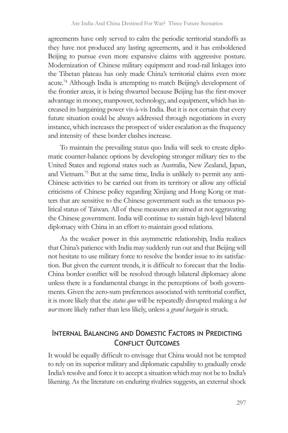agreements have only served to calm the periodic territorial standoffs as they have not produced any lasting agreements, and it has emboldened Beijing to pursue even more expansive claims with aggressive posture. Modernization of Chinese military equipment and road-rail linkages into the Tibetan plateau has only made China's territorial claims even more acute.<sup>74</sup> Although India is attempting to match Beijing's development of the frontier areas, it is being thwarted because Beijing has the first-mover advantage in money, manpower, technology, and equipment, which has increased its bargaining power vis-à-vis India. But it is not certain that every future situation could be always addressed through negotiations in every instance, which increases the prospect of wider escalation as the frequency and intensity of these border clashes increase.

To maintain the prevailing status quo India will seek to create diplomatic counter-balance options by developing stronger military ties to the United States and regional states such as Australia, New Zealand, Japan, and Vietnam.75 But at the same time, India is unlikely to permit any anti-Chinese activities to be carried out from its territory or allow any official criticisms of Chinese policy regarding Xinjiang and Hong Kong or matters that are sensitive to the Chinese government such as the tenuous political status of Taiwan. All of these measures are aimed at not aggravating the Chinese government. India will continue to sustain high-level bilateral diplomacy with China in an effort to maintain good relations.

As the weaker power in this asymmetric relationship, India realizes that China's patience with India may suddenly run out and that Beijing will not hesitate to use military force to resolve the border issue to its satisfaction. But given the current trends, it is difficult to forecast that the India-China border conflict will be resolved through bilateral diplomacy alone unless there is a fundamental change in the perceptions of both governments. Given the zero-sum preferences associated with territorial conflict, it is more likely that the *status quo* will be repeatedly disrupted making a *hot war* more likely rather than less likely, unless a *grand bargain* is struck.

### Internal Balancing and Domestic Factors in Predicting Conflict Outcomes

It would be equally difficult to envisage that China would not be tempted to rely on its superior military and diplomatic capability to gradually erode India's resolve and force it to accept a situation which may not be to India's likening. As the literature on enduring rivalries suggests, an external shock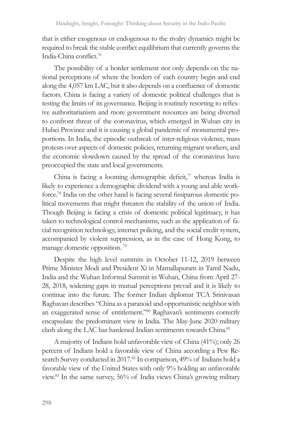that is either exogenous or endogenous to the rivalry dynamics might be required to break the stable conflict equilibrium that currently governs the India-China conflict.<sup>76</sup>

The possibility of a border settlement not only depends on the national perceptions of where the borders of each country begin and end along the 4,057 km LAC, but it also depends on a confluence of domestic factors. China is facing a variety of domestic political challenges that is testing the limits of its governance. Beijing is routinely resorting to reflexive authoritarianism and more government resources are being diverted to confront threat of the coronavirus, which emerged in Wuhan city in Hubei Province and it is causing a global pandemic of monumental proportions. In India, the episodic outbreak of inter-religious violence, mass protests over aspects of domestic policies, returning migrant workers, and the economic slowdown caused by the spread of the coronavirus have preoccupied the state and local governments.

China is facing a looming demographic deficit, $7\overline{7}$  whereas India is likely to experience a demographic dividend with a young and able workforce.78 India on the other hand is facing several fissiparous domestic political movements that might threaten the stability of the union of India. Though Beijing is facing a crisis of domestic political legitimacy, it has taken to technological control mechanisms, such as the application of facial recognition technology, internet policing, and the social credit system, accompanied by violent suppression, as in the case of Hong Kong, to manage domestic opposition.<sup>79</sup>

Despite the high level summits in October 11-12, 2019 between Prime Minister Modi and President Xi in Mamallapuram in Tamil Nadu, India and the Wuhan Informal Summit in Wuhan, China from April 27- 28, 2018, widening gaps in mutual perceptions prevail and it is likely to continue into the future. The former Indian diplomat TCA Srinivasan Raghavan describes "China as a paranoid and opportunistic neighbor with an exaggerated sense of entitlement."80 Raghavan's sentiments correctly encapsulate the predominant view in India. The May-June 2020 military clash along the LAC has hardened Indian sentiments towards China.<sup>81</sup>

A majority of Indians hold unfavorable view of China (41%); only 26 percent of Indians hold a favorable view of China according a Pew Research Survey conducted in 2017.<sup>82</sup> In comparison, 49% of Indians hold a favorable view of the United States with only 9% holding an unfavorable view.83 In the same survey, 56% of India views China's growing military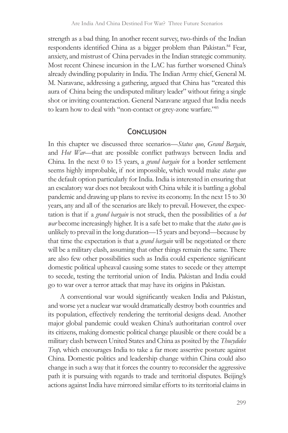strength as a bad thing. In another recent survey, two-thirds of the Indian respondents identified China as a bigger problem than Pakistan.<sup>84</sup> Fear, anxiety, and mistrust of China pervades in the Indian strategic community. Most recent Chinese incursion in the LAC has further worsened China's already dwindling popularity in India. The Indian Army chief, General M. M. Naravane, addressing a gathering, argued that China has "created this aura of China being the undisputed military leader" without firing a single shot or inviting counteraction. General Naravane argued that India needs to learn how to deal with "non-contact or grey-zone warfare."85

#### **CONCLUSION**

In this chapter we discussed three scenarios—*Status quo*, *Grand Bargain*, and *Hot War*—that are possible conflict pathways between India and China. In the next 0 to 15 years, a *grand bargain* for a border settlement seems highly improbable, if not impossible, which would make *status quo* the default option particularly for India. India is interested in ensuring that an escalatory war does not breakout with China while it is battling a global pandemic and drawing up plans to revive its economy. In the next 15 to 30 years, any and all of the scenarios are likely to prevail. However, the expectation is that if a *grand bargain* is not struck, then the possibilities of a *hot war* become increasingly higher. It is a safe bet to make that the *status quo* is unlikely to prevail in the long duration—15 years and beyond—because by that time the expectation is that a *grand bargain* will be negotiated or there will be a military clash, assuming that other things remain the same. There are also few other possibilities such as India could experience significant domestic political upheaval causing some states to secede or they attempt to secede, testing the territorial union of India. Pakistan and India could go to war over a terror attack that may have its origins in Pakistan.

A conventional war would significantly weaken India and Pakistan, and worse yet a nuclear war would dramatically destroy both countries and its population, effectively rendering the territorial designs dead. Another major global pandemic could weaken China's authoritarian control over its citizens, making domestic political change plausible or there could be a military clash between United States and China as posited by the *Thucydides Trap,* which encourages India to take a far more assertive posture against China. Domestic politics and leadership change within China could also change in such a way that it forces the country to reconsider the aggressive path it is pursuing with regards to trade and territorial disputes. Beijing's actions against India have mirrored similar efforts to its territorial claims in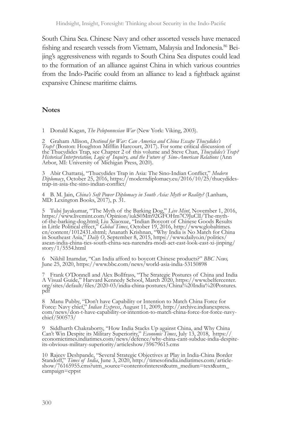South China Sea. Chinese Navy and other assorted vessels have menaced fishing and research vessels from Vietnam, Malaysia and Indonesia.86 Beijing's aggressiveness with regards to South China Sea disputes could lead to the formation of an alliance against China in which various countries from the Indo-Pacific could from an alliance to lead a fightback against expansive Chinese maritime claims.

#### **Notes**

1 Donald Kagan, *The Peloponnesian War* (New York: Viking, 2003).

2 Graham Allison, *Destined for War: Can America and China Escape Thucydides's*<br> *Trap?* (Boston: Houghton Mifflin Harcourt, 2017). For some critical discussion of<br>
the Thucydides's Trap, see Chapter 2 of this volume and S

3 Abir Chattaraj, "Thucydides Trap in Asia: The Sino-Indian Conflict," *Modern Diplomacy*, October 25, 2016, https://moderndiplomacy.eu/2016/10/25/thucydides- trap-in-asia-the-sino-indian-conflict/

4 B. M. Jain, *China's Soft Power Diplomacy in South Asia: Myth or Reality?* (Lanham, MD: Lexington Books, 2017), p. 31.

5 Tulsi Jayakumar, "The Myth of the Barking Dog," *Live Mint*, November 1, 2016, https://www.livemint.com/Opinion/iukS0Mm92GFOHm7C9JuClI/The-mythof-the-barking-dog.html; Liu Xiaoxue, "Indian Boycott of Chinese Goods Results in Little Political effect," *Global Times*, October 19, 2016, http://www.globaltimes. cn/content/1012431.shtml; Ananath Krishnan, "Why India is No Match for China in Southeast Asia," *Daily O*, September 8, 2015, https://www.dailyo.in/politics/ asean-india-china-ties-south-china-sea-narendra-modi-act-east-look-east-xi-jinping/ asean-india-china-ties-south-china-sea-narendra-modi-act-east-look-east-xi-jinping/<br>story/1/5554.html

6 Nikhil Inamdar, "Can India afford to boycott Chinese products?" *BBC News,* June 25, 2020, https://www.bbc.com/news/world-asia-india-53150898

7 Frank O'Donnell and Alex Bollfrass, "The Strategic Postures of China and India A Visual Guide," Harvard Kennedy School, March 2020, https://www.belfercenter. org/sites/default/files/2020-03/india-china-postures/China%20India%20Postures. pdf

8 Manu Pubby, "Don't have Capability or Intention to Match China Force for Force: Navy chief," Indian Express, August 11, 2009, http://archive.indianexpress.com/news/don-t-have-capability-or-intention-to-match-china-forcechief/500573/

9 Siddharth Chakraborty, "How India Stacks Up against China, and Why China<br>Can't Win Despite its Military Superiority," *Economic Times*, July 13, 2018, https://<br>economictimes.indiatimes.com/news/defence/why-china-cant-sub its-obvious-military-superiority/articleshow/59679615.cms

10 Rajeev Deshpande, "Several Strategic Objectives at Play in India-China Border Standoff," Times of India, June 3, 2020, http://timesofindia.indiatimes.com/article-show/76165955.cms?utm\_source=contentofinterest&utm\_medium campaign=cppst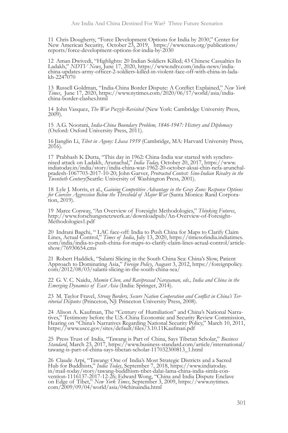<sup>11</sup> Chris Dougherty, "Force Development Options for India by 2030," Center for New American Security, October 23, 2019, https://www.cnas.org/publications/ reports/force-development-options-for-india-by-2030

12 Aman Dwivedi, "Highlights: 20 Indian Soldiers Killed; 43 Chinese Casualties In Ladakh," NDTV News, June 17, 2020, https://www.ndtv.com/india-news/india-<br>china-updates-army-officer-2-soldiers-killed-in-violent-face-off-w

13 Russell Goldman, "India-China Border Dispute: A Conflict Explained," *New York Times*, June 17, 2020, https://www.nytimes.com/2020/06/17/world/asia/india- china-border-clashes.html

<sup>14</sup> John Vasquez, *The War Puzzle-Revisited* (New York: Cambridge University Press, 2009).

<sup>15</sup> A.G. Noorani, *India-China Boundary Problem, 1846-1947: History and Diplomacy* (Oxford: Oxford University Press, 2011).

<sup>16</sup> Jianglin Li, *Tibet in Agony: Lhasa 1959* (Cambridge, MA: Harvard University Press, 2016).

17 Prabhash K Dutta, "This day in 1962: China-India war started with synchro-<br>nised attack on Ladakh, Arunachal," *India Toda*y, October 20, 2017, https://www.<br>indiatoday.in/india/story/india-china-war-1962-20-october-aksa pradesh-1067703-2017-10-20; John Garver, *Protracted Contest: Sino-Indian Rivalry in the Twentieth Century*(Seattle: University of Washington Press, 2001).

18 Lyle J. Morris, et al., *Gaining Competitive Advantage in the Gray Zone: Response Options for Coercive Aggression Below the Threshold of Major War* (Santa Monica: Rand Corpora- tion, 2019).

<sup>19</sup> Maree Conway, "An Overview of Foresight Methodologies," *Thinking Futures*, http://www.forschungsnetzwerk.at/downloadpub/An-Overview-of-Foresight-Methodologies1.pdf

20 Indrani Bagchi, "LAC face-off: India to Push China for Maps to Clarify Claim<br>Lines, Actual Control," Times of India, July 13, 2020, https://timesofindia.indiatimes.<br>com/india/india-to-push-china-for-maps-to-clarify-clai

21 Robert Haddick, "Salami Slicing in the South China Sea: China's Slow, Patient Approach to Dominating Asia," *Foreign Policy*, August 3, 2012, https://foreignpolicy. com/2012/08/03/salami-slicing-in-the-south-china-sea/

<sup>22</sup> G. V. C. Naidu, *Mumin Chen, and Raviprasad Narayanan, eds., India and China in the Emerging Dynamics of East Asia* (India: Springer, 2014).

<sup>23</sup> M. Taylor Fravel, *Strong Borders, Secure Nation Cooperation and Conflict in China's Ter- ritorial Disputes* (Princeton, NJ: Princeton University Press, 2008).

<sup>24</sup> Alison A. Kaufman, The "Century of Humiliation" and China's National Narra- tives," Testimony before the U.S.-China Economic and Security Review Commission, Hearing on "China's Narratives Regarding National Security Policy," March 10, 2011, https://www.uscc.gov/sites/default/files/3.10.11Kaufman.pdf

25 Press Trust of India, "Tawang is Part of China, Says Tibetan Scholar," *Business Standard*, March 23, 2017, https://www.business-standard.com/article/international/ tawang-is-part-of-china-says-tibetan-scholar-117032300813\_1.html

26 Claude Arpi, "Tawang: One of India's Most Strategic Districts and a Sacred<br>Hub for Buddhists," *India Today*, September 7, 2018, https://www.indiatoday.<br>in/mail-today/story/tawang-buddhism-tibet-dalai-lama-china-india-s on Edge of Tibet," *New York Times*, September 3, 2009, https://www.nytimes. com/2009/09/04/world/asia/04chinaindia.html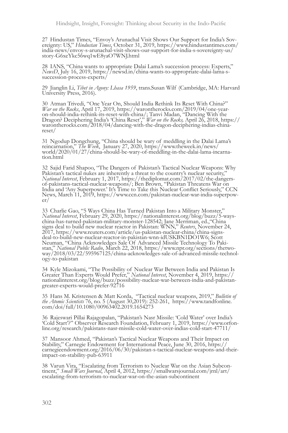27 Hindustan Times, "Envoy's Arunachal Visit Shows Our Support for India's Sovereignty: US," Hindustan Times, October 31, 2019, https://www.hindustantimes.com/<br>india-news/envoy-s-arunachal-visit-shows-our-support-for-india story-G6xeYkc56wq1wE8yaO7WNJ.html

<sup>28</sup> IANS, "China wants to appropriate Dalai Lama's succession process: Experts," *NewsD*, July 16, 2019, https://newsd.in/china-wants-to-appropriate-dalai-lama-s- succession-process-experts/

29 Jianglin Li, *Tibet in Agony: Lhasa 1959*, trans.Susan Wilf (Cambridge, MA: Harvard University Press, 2016).

30 Atman Trivedi, "One Year On, Should India Rethink Its Reset With China?" *War on the Rocks*, April 17, 2019, https://warontherocks.com/2019/04/one-year- on-should-india-rethink-its-reset-with-china/; Tanvi Madan, "Dancing With the Dragon? Deciphering India's 'China Reset'," *War on the Rocks,* April 26, 2018, https:// warontherocks.com/2018/04/dancing-with-the-dragon-deciphering-indias-chinareset/

31 Ngodup Dongchung, "China should be wary of meddling in the Dalai Lama's reincarnation," The Week, January 27, 2020, https://www.theweek.in/news/world/2020/01/27/china-should-be-wary-of-meddling-in-the-dalai-lama-incarn

32 Sajid Farid Shapoo, "The Dangers of Pakistan's Tactical Nuclear Weapons: Why Pakistan's tactical nukes are inherently a threat to the country's nuclear security," National Interest, February 1, 2017, https://thediplomat *National Interest*, February 1, 2017, https://thediplomat.com/2017/02/the-dangers- of-pakistans-tactical-nuclear-weapons/; Ben Brown, "Pakistan Threatens War on India and 'Any Superpower.' It's Time to Take this Nuclear Conflict Seriously," CCN News, March 11, 2019, https://www.ccn.com/pakistan-nuclear-war-india-superpow- er/

33 Charlie Gao, "5 Ways China Has Turned Pakistan Into a Military Monster,"<br>National Interest, February 29, 2020, https://nationalinterest.org/blog/buzz/5-wayssigns deal to build new nuclear reactor in Pakistan: WNN," *Reuters*, November 24, 2017, https://www.reuters.com/article/us-pakistan-nuclear-china/china-signsdeal-to-build-new-nuclear-reactor-in-pakistan-wnn-idUSKBN1DO1W6; Scott Schwarzen von der Advanced Missile Technology To Pakistan," National Public Radio, March 22, 2018, https://www.npr.org/sections/thetwo-<br>way/2018/03/22/595967125/china-acknowledges-sale-of-advanced-missile-technology-to-pak

34 Kyle Mizokami, "The Possibility of Nuclear War Between India and Pakistan Is<br>Greater Than Experts Would Prefer," National Interest, November 4, 2019, https://<br>nationalinterest.org/blog/buzz/possibility-nuclear-war-betwe greater-experts-would-prefer-92716

<sup>35</sup> Hans M. Kristensen & Matt Korda, "Tactical nuclear weapons, 2019," *Bulletin of the Atomic Scientists* 76, no. 5 (August 30,2019): 252-261, https://www.tandfonline. com/doi/full/10.1080/00963402.2019.1654273

36 Rajeswari Pillai Rajagopalan, "Pakistan's Nasr Missile: 'Cold Water' over India's 'Cold Start'?'' Observer Research Foundation, February 1, 2019, https://www.orfonline.org/research/pakistans-nasr-missile-cold-water-over

<sup>37</sup> Mansoor Ahmed, "Pakistan's Tactical Nuclear Weapons and Their Impact on Stability," Carnegie Endowment for International Peace, June 30, 2016, https:// carnegieendowment.org/2016/06/30/pakistan-s-tactical-nuclear-weapons-and-theirimpact-on-stability-pub-63911

38 Varun Vira, "Escalating from Terrorism to Nuclear War on the Asian Subcontinent," *Small Wars Journal*, April 4, 2012, https://smallwarsjournal.com/jrnl/art/escalating-from-terrorism-to-nuclear-war-on-the-asian-subconti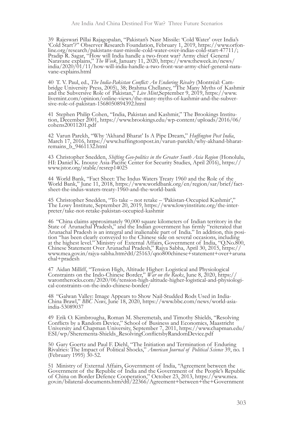39 Rajeswari Pillai Rajagopalan, "Pakistan's Nasr Missile: 'Cold Water' over India's<br>'Cold Start'?'' Observer Research Foundation, February 1, 2019, https://www.orfon-<br>line.org/research/pakistans-nasr-missile-cold-water-o Pradip R. Sagar, "How will India handle a two-front war? Army chief General Naravane explains," *The Week*, January 11, 2020, https://www.theweek.in/news/<br>india/2020/01/11/how-will-india-handle-a-two-front-war-army-chief-general-nara-<br>vane-explains.html

40 T. V. Paul, ed., *The India-Pakistan Conflict: An Enduring Rivalry* (Montréal: Cam- bridge University Press, 2005), 38; Brahma Chellaney, "The Many Myths of Kashmir and the Subversive Role of Pakistan," *Live Mint*,September 9, 2019, https://www. livemint.com/opinion/online-views/the-many-myths-of-kashmir-and-the-subver- sive-role-of-pakistan-1568050894392.html

<sup>41</sup> Stephen Philip Cohen, "India, Pakistan and Kashmir," The Brookings Institu- tion, December 2001, https://www.brookings.edu/wp-content/uploads/2016/06/ cohens20011201.pdf

<sup>42</sup> Varun Parekh, "Why 'Akhand Bharat' Is A Pipe Dream," *Huffington Post India*, March 17, 2016, https://www.huffingtonpost.in/varun-parekh/why-akhand-bharatremains\_b\_9461132.html

43 Christopher Snedden, *Shifting Geo-politics in the Greater South Asia Region* (Honolulu, HI: Daniel K. Inouye Asia-Pacific Center for Security Studies, April 2016), https:// www.jstor.org/stable/resrep14025

44 World Bank, "Fact Sheet: The Indus Waters Treaty 1960 and the Role of the World Bank," June 11, 2018, https://www.worldbank.org/en/region/sar/brief/factsheet-the-indus-waters-treaty-1960-and-the-world-bank

<sup>45</sup> Christopher Snedden, "To take – not retake – 'Pakistan-Occupied Kashmir'," The Lowy Institute, September 20, 2019, https://www.lowyinstitute.org/the-inter- preter/take-not-retake-pakistan-occupied-kashmir

<sup>46</sup> "China claims approximately 90,000 square kilometers of Indian territory in the State of Arunachal Pradesh," and the Indian government has firmly "reiterated that Arunachal Pradesh is an integral and inalienable part of India." In addition, this posi- tion "has been clearly conveyed to the Chinese side on several occasions, including at the highest level." Ministry of External Affairs, Government of India, "Q.No.800, Chinese Statement Over Arunachal Pradesh," Rajya Sabha, April 30, 2015, https:// www.mea.gov.in/rajya-sabha.htm?dtl/25163/qno800chinese+statement+over+aruna chal+pradesh

47 Aidan Milliff, "Tension High, Altitude Higher: Logistical and Physiological Constraints on the Indo-Chinese Border," *War on the Rocks*, June 8, 2020, https://warontherocks.com/2020/06/tension-high-altitude-higher-logis

<sup>48</sup> "Galwan Valley: Image Appears to Show Nail-Studded Rods Used in India- China Brawl," *BBC News*, June 18, 2020, https://www.bbc.com/news/world-asia- india-53089037

<sup>49</sup> Erik O. Kimbrougha, Roman M. Sheremetab, and Timothy Shields, "Resolving Conflicts by a Random Device," School of Business and Economics, Maastricht University and Chapman University, September 7, 2011, https://www.chapman.edu/ ESI/wp/Sherementa-Shields\_ResolvingConflictsbyRandomDevice.pdf

50 Gary Goertz and Paul F. Diehl, "The Initiation and Termination of Enduring Rivalries: The Impact of Political Shocks," *American Journal of Political Science* 39, no. 1 (February 1995) 30-52.

<sup>51</sup> Ministry of External Affairs, Government of India, "Agreement between the Government of the Republic of India and the Government of the People's Republic of China on Border Defence Cooperation," October 23, 2013, https://www.mea. gov.in/bilateral-documents.htm?dtl/22366/Agreement+between+the+Government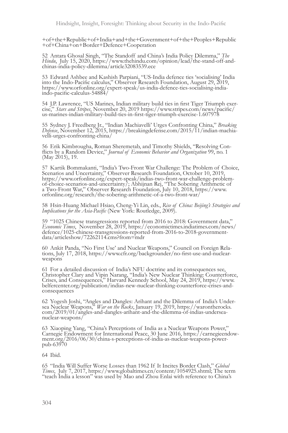+of+the+Republic+of+India+and+the+Government+of+the+Peoples+Republic +of+China+on+Border+Defence+Cooperation

52 Antara Ghosal Singh, "The Standoff and China's India Policy Dilemma," *The Hindu*, July 15, 2020, https://www.thehindu.com/opinion/lead/the-stand-off-and-<br>chinas-india-policy-dilemma/article32083539.ece

<sup>53</sup> Edward Ashbee and Kashish Parpiani, "US-India defence ties 'socialising' India into the Indo-Pacific calculus," Observer Research Foundation, August 29, 2019, https://www.orfonline.org/expert-speak/us-india-defence-ties-socialising-indiaindo-pacific-calculus-54884/

54 J.P. Lawrence, "US Marines, Indian military build ties in first Tiger Triumph exercise," Stars and Stripes, November 20, 2019 https://www.stripes.com/news/pacific/us-marines-indian-military-build-ties-in-first-tiger-tri

55 Sydney J. Freedberg Jr., "Indian Machiavelli' Urges Confronting China," *Breaking Defense*, November 12, 2015, https://breakingdefense.com/2015/11/indian-machia- velli-urges-confronting-china/

<sup>56</sup> Erik Kimbrougha, Roman Sheremetab, and Timothy Shields, "Resolving Con- flicts by a Random Device," *Journal of Economic Behavior and Organization* 99, no. 1 (May 2015), 19.

<sup>57</sup> Kartik Bommakanti, "India's Two-Front War Challenge: The Problem of Choice, Scenarios and Uncertainty," Observer Research Foundation, October 10, 2019, https://www.orfonline.org/expert-speak/indias-two-front-war-challenge-problemof-choice-scenarios-and-uncertainty/; Abhijnan Rej, "The Sobering Arithmetic of a Two-Front War," Observer Research Foundation, July 10, 2018, https://www. orfonline.org/research/the-sobering-arithmetic-of-a-two-front-war/

<sup>58</sup> Hsin-Huang Michael Hsiao, Cheng-Yi Lin, eds., *Rise of China: Beijing's Strategies and Implications for the Asia-Pacific* (New York: Routledge, 2009).

59 "1025 Chinese transgressions reported from 2016 to 2018: Government data,"<br>Economic Times, November 28, 2019, https://economictimes.indiatimes.com/news/<br>defence/1025-chinese-transgressions-reported-from-2016-to-2018-gov data/articleshow/72262114.cms?from=mdr

60 Ankit Panda, "No First Use' and Nuclear Weapons," Council on Foreign Rela- tions, July 17, 2018, https://www.cfr.org/backgrounder/no-first-use-and-nuclearweapons<sup>'</sup>

<sup>61</sup> For a detailed discussion of India's NFU doctrine and its consequences see, Christopher Clary and Vipin Narang, "India's New Nuclear Thinking: Counterforce, Crises, and Consequences," Harvard Kennedy School, May 24, 2019, https://www. belfercenter.org/publication/indias-new-nuclear-thinking-counterforce-crises-andconsequences

62 Yogesh Joshi, "Angles and Dangles: Arihant and the Dilemma of India's Undersea Nuclear Weapons," War on the Rocks, January 19, 2019, https://warontherocks.com/2019/01/angles-and-dangles-arihant-and-the-dilemma-of-indias nuclear-weapons/

63 Xiaoping Yang, "China's Perceptions of India as a Nuclear Weapons Power,"<br>Carnegie Endowment for International Peace, 30 June 2016, https://carnegieendow-<br>ment.org/2016/06/30/china-s-perceptions-of-india-as-nuclear-weap pub-63970

#### 64 Ibid.

65 "India Will Suffer Worse Losses than 1962 If It Incites Border Clash," *Global*  "teach India a lesson" was used by Mao and Zhou Enlai with reference to China's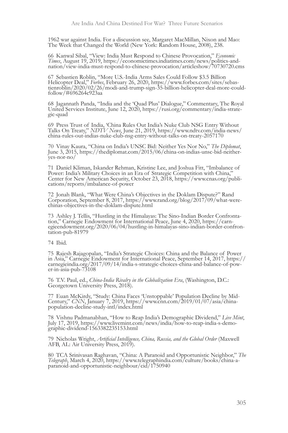1962 war against India. For a discussion see, Margaret MacMillan, Nixon and Mao: The Week that Changed the World (New York: Random House, 2008), 238.

66 Kanwal Sibal, "View: India Must Respond to Chinese Provocation," *Economic Times*, August 19, 2019, https://economictimes.indiatimes.com/news/politics-and- nation/view-india-must-respond-to-chinese-provocation/articleshow/70730720.cms

67 Sebastien Roblin, "More U.S.-India Arms Sales Could Follow \$3.5 Billion<br>Helicopter Deal," Forbes, February 26, 2020, https://www.forbes.com/sites/sebastienroblin/2020/02/26/modi-and-trump-sign-35-billion-helicopter-deal-more-couldfollow/#696264c923aa

<sup>68</sup> Jagannath Panda, "India and the 'Quad Plus' Dialogue," Commentary, The Royal United Services Institute, June 12, 2020, https://rusi.org/commentary/india-strate- gic-quad

69 Press Trust of India, 'China Rules Out India's Nuke Club NSG Entry Without Talks On Treaty," NDTV News, June 21, 2019, https://www.ndtv.com/india-news/<br>china-rules-out-indias-nuke-club-nsg-entry-without-talks-on-treaty-

70 Vinay Kaura, "China on India's UNSC Bid: Neither Yes Nor No," *The Diplomat*, June 3, 2015, https://thediplomat.com/2015/06/china-on-indias-unsc-bid-neitheryes-nor-no/

<sup>71</sup> Daniel Kliman, Iskander Rehman, Kristine Lee, and Joshua Fitt, "Imbalance of Power: India's Military Choices in an Era of Strategic Competition with China," Center for New American Security, October 23, 2018, https://www.cnas.org/publi- cations/reports/imbalance-of-power

72 Jonah Blank, "What Were China's Objectives in the Doklam Dispute?" Rand Corporation, September 8, 2017, https://www.rand.org/blog/2017/09/what-werechinas-objectives-in-the-doklam-dispute.html

73 Ashley J. Tellis, "Hustling in the Himalayas: The Sino-Indian Border Confrontation," Carnegie Endowment for International Peace, June 4, 2020, https://carnegieendowment.org/2020/06/04/hustling-in-himalayas-sino-indian-b

74 Ibid.

<sup>75</sup> Rajesh Rajagopalan, "India's Strategic Choices: China and the Balance of Power in Asia," Carnegie Endowment for International Peace, September 14, 2017, https:// carnegieindia.org/2017/09/14/india-s-strategic-choices-china-and-balance-of-pow- er-in-asia-pub-73108

<sup>76</sup> T.V. Paul, ed., *China-India Rivalry in the Globalization Era*, (Washington, D.C.: Georgetown University Press, 2018).

<sup>77</sup> Euan McKirdy, "Study: China Faces 'Unstoppable' Population Decline by Mid- Century," *CNN*, January 7, 2019, https://www.cnn.com/2019/01/07/asia/china- population-decline-study-intl/index.html

<sup>78</sup> Vishnu Padmanabhan, "How to Reap India's Demographic Dividend," *Live Mint*, July 17, 2019, https://www.livemint.com/news/india/how-to-reap-india-s-demo- graphic-dividend-1563382235153.html

79 Nicholas Wright, *Artificial Intelligence, China, Russia, and the Global Order* (Maxwell AFB, AL: Air University Press, 2019).

80 TCA Srinivasan Raghavan, "China: A Paranoid and Opportunistic Neighbor," *The Telegraph*, March 4, 2020, https://www.telegraphindia.com/culture/books/china-a- paranoid-and-opportunistic-neighbour/cid/1750940